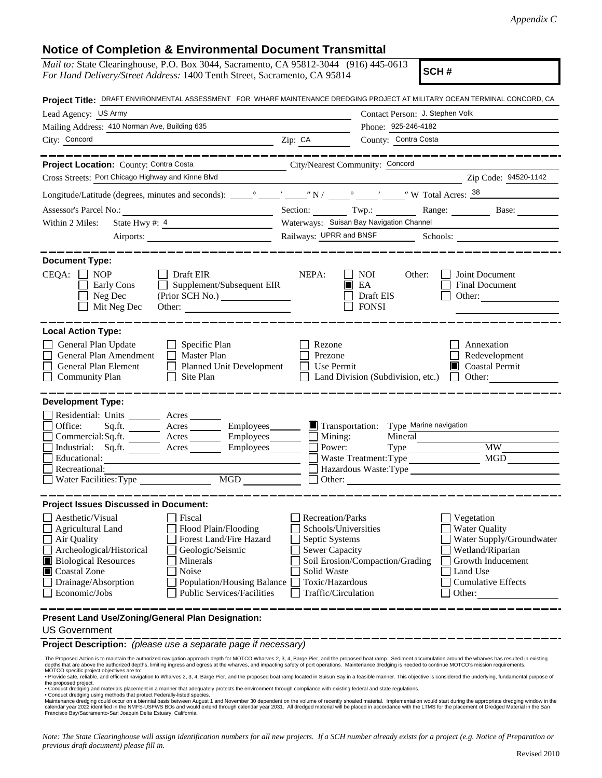## **Notice of Completion & Environmental Document Transmittal**

| <i>Mail to:</i> State Clearinghouse, P.O. Box 3044, Sacramento, CA 95812-3044 (916) 445-0613<br>For Hand Delivery/Street Address: 1400 Tenth Street, Sacramento, CA 95814 | SCH#                                                                                                                        |  |  |
|---------------------------------------------------------------------------------------------------------------------------------------------------------------------------|-----------------------------------------------------------------------------------------------------------------------------|--|--|
|                                                                                                                                                                           | Project Title: DRAFT ENVIRONMENTAL ASSESSMENT FOR WHARF MAINTENANCE DREDGING PROJECT AT MILITARY OCEAN TERMINAL CONCORD, CA |  |  |
| Lead Agency: US Army                                                                                                                                                      | Contact Person: J. Stephen Volk                                                                                             |  |  |
| Mailing Address: 410 Norman Ave, Building 635                                                                                                                             | Phone: 925-246-4182                                                                                                         |  |  |
| City: Concord                                                                                                                                                             | County: Contra Costa<br>Zip: CA                                                                                             |  |  |
| <u> 2008 - 2009 - 2009 - 2009 - 2009 - 2009 - 2009 - 2009 - 2009 - 2009 - 2009 - 2009 - 2009 - 2009 - 2009 - 200</u>                                                      |                                                                                                                             |  |  |
| Project Location: County: Contra Costa                                                                                                                                    | City/Nearest Community: Concord                                                                                             |  |  |
| Cross Streets: Port Chicago Highway and Kinne Blvd                                                                                                                        | Zip Code: 94520-1142                                                                                                        |  |  |
|                                                                                                                                                                           |                                                                                                                             |  |  |
|                                                                                                                                                                           | Section: Twp.: Range: Base:                                                                                                 |  |  |
| State Hwy #: $4 \quad \qquad$<br>Within 2 Miles:                                                                                                                          | Waterways: Suisan Bay Navigation Channel                                                                                    |  |  |
| Railways: UPRR and BNSF<br>Schools:<br>Airports:                                                                                                                          |                                                                                                                             |  |  |
|                                                                                                                                                                           |                                                                                                                             |  |  |
| <b>Document Type:</b>                                                                                                                                                     |                                                                                                                             |  |  |
| $CEQA: \Box NOP$<br>$\Box$ Draft EIR                                                                                                                                      | NEPA:<br>NOI 11<br>Other:<br>Joint Document                                                                                 |  |  |
| $\Box$ Supplement/Subsequent EIR<br>Early Cons                                                                                                                            | EA<br>Final Document<br>w                                                                                                   |  |  |
| Neg Dec                                                                                                                                                                   | Draft EIS<br>Other:                                                                                                         |  |  |
| Mit Neg Dec<br>Other:                                                                                                                                                     | <b>FONSI</b>                                                                                                                |  |  |
|                                                                                                                                                                           |                                                                                                                             |  |  |
| <b>Local Action Type:</b>                                                                                                                                                 |                                                                                                                             |  |  |
| General Plan Update<br>$\Box$ Specific Plan                                                                                                                               | Rezone<br>Annexation                                                                                                        |  |  |
| General Plan Amendment<br>Master Plan                                                                                                                                     | Prezone<br>Redevelopment                                                                                                    |  |  |
| General Plan Element<br>Planned Unit Development                                                                                                                          | Coastal Permit<br>Use Permit                                                                                                |  |  |
| <b>Community Plan</b><br>$\Box$ Site Plan                                                                                                                                 | Land Division (Subdivision, etc.)<br>Other:<br>$\mathbf{1}$                                                                 |  |  |
|                                                                                                                                                                           |                                                                                                                             |  |  |
| <b>Development Type:</b>                                                                                                                                                  |                                                                                                                             |  |  |
| Residential: Units ________ Acres _______                                                                                                                                 |                                                                                                                             |  |  |
| Sq.ft. ________ Acres __________ Employees________<br>Transportation: Type Marine navigation<br>Office:                                                                   |                                                                                                                             |  |  |
| Commercial:Sq.ft. <b>Acres</b> Acres Employees Bemployees                                                                                                                 | Mining:<br>Mineral                                                                                                          |  |  |
| Industrial: Sq.ft. ________ Acres _______<br>Employees                                                                                                                    | <b>MW</b><br>Power:                                                                                                         |  |  |
| Educational:<br>Recreational:                                                                                                                                             | MGD<br>Waste Treatment: Type                                                                                                |  |  |
| MGD<br>Water Facilities: Type                                                                                                                                             | Hazardous Waste: Type<br>$\Box$ Other: $\Box$                                                                               |  |  |
|                                                                                                                                                                           |                                                                                                                             |  |  |
| <b>Project Issues Discussed in Document:</b>                                                                                                                              |                                                                                                                             |  |  |
| Aesthetic/Visual<br>Fiscal                                                                                                                                                | <b>Recreation/Parks</b><br>Vegetation                                                                                       |  |  |
| <b>Agricultural Land</b><br>Flood Plain/Flooding                                                                                                                          | <b>Water Quality</b><br>Schools/Universities                                                                                |  |  |
| Air Quality<br>Forest Land/Fire Hazard                                                                                                                                    | Water Supply/Groundwater<br>Septic Systems                                                                                  |  |  |
| Archeological/Historical<br>Geologic/Seismic                                                                                                                              | <b>Sewer Capacity</b><br>Wetland/Riparian                                                                                   |  |  |
| <b>Biological Resources</b><br>Minerals                                                                                                                                   | Soil Erosion/Compaction/Grading<br>Growth Inducement                                                                        |  |  |
| Coastal Zone<br>Noise                                                                                                                                                     | Solid Waste<br>Land Use                                                                                                     |  |  |
| Drainage/Absorption<br><b>Population/Housing Balance</b>                                                                                                                  | Toxic/Hazardous<br><b>Cumulative Effects</b>                                                                                |  |  |
| Economic/Jobs<br><b>Public Services/Facilities</b>                                                                                                                        | Traffic/Circulation<br>Other:                                                                                               |  |  |
|                                                                                                                                                                           |                                                                                                                             |  |  |
| Present Land Use/Zoning/General Plan Designation:                                                                                                                         |                                                                                                                             |  |  |
| <b>US Government</b>                                                                                                                                                      |                                                                                                                             |  |  |

**Project Description:** *(please use a separate page if necessary)*

*Note: The State Clearinghouse will assign identification numbers for all new projects. If a SCH number already exists for a project (e.g. Notice of Preparation or previous draft document) please fill in.*

The Proposed Action is to maintain the authorized navigation approach depth for MOTCO Wharves 2, 3, 4, Barge Pier, and the proposed boat ramp. Sediment accumulation around the wharves has resulted in existing<br>depths that a

<sup>•</sup> Conduct dredging and materials placement in a manner that adequately protects the environment through compliance with existing federal and state regulations.<br>● Conduct dredging using methods that protect a beneficial th